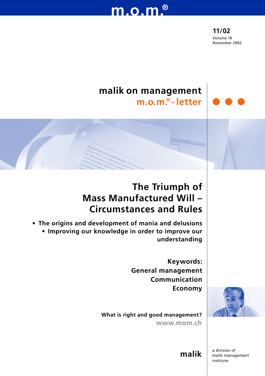# **m.o.m.®**

**11/02** Volume 10 November 2002

## **malik on management m.o.m.® - letter**

## **The Triumph of Mass Manufactured Will – Circumstances and Rules**

**• The origins and development of mania and delusions • Improving our knowledge in order to improve our understanding**

> **Keywords: General management Communication Economy**



**What is right and good management? www.mom.ch**

> a division of malik management institute

**malik**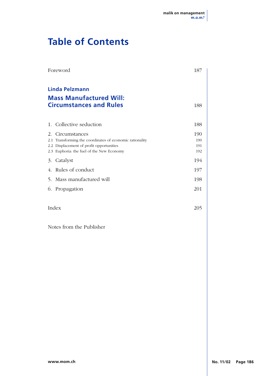## **Table of Contents**

| Foreword                                                                                                                                                                          | 187                      |
|-----------------------------------------------------------------------------------------------------------------------------------------------------------------------------------|--------------------------|
| <b>Linda Pelzmann</b><br><b>Mass Manufactured Will:</b><br><b>Circumstances and Rules</b>                                                                                         | 188                      |
| Collective seduction<br>1.                                                                                                                                                        | 188                      |
| 2.<br>Circumstances<br>Transforming the coordinates of economic rationality<br>2.1<br>Displacement of profit opportunities<br>2.2<br>Euphoria: the fuel of the New Economy<br>2.3 | 190<br>190<br>191<br>192 |
| Catalyst<br>3.                                                                                                                                                                    | 194                      |
| Rules of conduct<br>$\overline{4}$ .                                                                                                                                              | 197                      |
| Mass manufactured will<br>5.                                                                                                                                                      | 198                      |
| 6.<br>Propagation                                                                                                                                                                 | 201                      |
| Index                                                                                                                                                                             | 205                      |
| Notes from the Publisher                                                                                                                                                          |                          |
|                                                                                                                                                                                   |                          |
|                                                                                                                                                                                   |                          |
|                                                                                                                                                                                   |                          |
|                                                                                                                                                                                   |                          |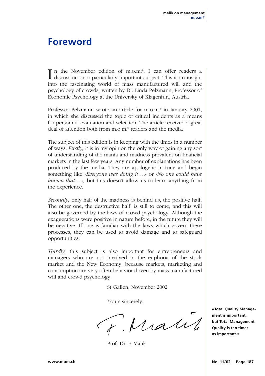## **Foreword**

I n the November edition of m.o.m.®, I can offer readers a discussion on a particularly important subject. This is an insight into the fascinating world of mass manufactured will and the psychology of crowds, written by Dr. Linda Pelzmann, Professor of Economic Psychology at the University of Klagenfurt, Austria.

Professor Pelzmann wrote an article for m.o.m.® in January 2001, in which she discussed the topic of critical incidents as a means for personnel evaluation and selection. The article received a great deal of attention both from m.o.m.® readers and the media.

The subject of this edition is in keeping with the times in a number of ways. *Firstly,* it is in my opinion the only way of gaining any sort of understanding of the mania and madness prevalent on financial markets in the last few years. Any number of explanations has been produced by the media. They are apologetic in tone and begin something like *«Everyone was doing it ...»* or *«No one could have known that ...»,* but this doesn't allow us to learn anything from the experience.

*Secondly,* only half of the madness is behind us, the positive half. The other one, the destructive half, is still to come, and this will also be governed by the laws of crowd psychology. Although the exaggerations were positive in nature before, in the future they will be negative. If one is familiar with the laws which govern these processes, they can be used to avoid damage and to safeguard opportunities.

*Thirdly,* this subject is also important for entrepreneurs and managers who are not involved in the euphoria of the stock market and the New Economy, because markets, marketing and consumption are very often behavior driven by mass manufactured will and crowd psychology.

St.Gallen, November 2002

Yours sincerely,

F. Matil

Prof. Dr. F. Malik

**«Total Quality Management is important, but Total Management Quality is ten times as important.»**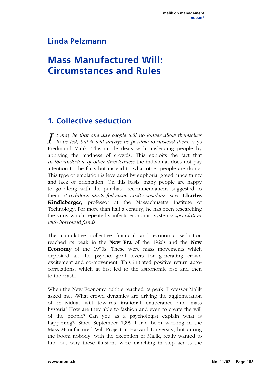### **Linda Pelzmann**

## **Mass Manufactured Will: Circumstances and Rules**

### **1. Collective seduction**

 $I$  *t may be that one day people will no longer allow themselves* to be led, but it will always be possible to mislead them, says Fredmund Malik. This article deals with misleading people by applying the madness of crowds. This exploits the fact that *in the undertow of other-directedness* the individual does not pay attention to the facts but instead to what other people are doing. This type of emulation is leveraged by euphoria, greed, uncertainty and lack of orientation. On this basis, many people are happy to go along with the purchase recommendations suggested to them. *«Credulous idiots following crafty insiders»,* says **Charles Kindleberger,** professor at the Massachusetts Institute of Technology. For more than half a century, he has been researching the virus which repeatedly infects economic systems: *speculation with borrowed funds.*

The cumulative collective financial and economic seduction reached its peak in the **New Era** of the 1920s and the **New Economy** of the 1990s. These were mass movements which exploited all the psychological levers for generating crowd excitement and co-movement. This initiated positive return autocorrelations, which at first led to the astronomic rise and then to the crash.

When the New Economy bubble reached its peak, Professor Malik asked me, «What crowd dynamics are driving the agglomeration of individual will towards irrational exuberance and mass hysteria? How are they able to fashion and even to create the will of the people? Can you as a psychologist explain what is happening?» Since September 1999 I had been working in the Mass Manufactured Will Project at Harvard University, but during the boom nobody, with the exception of Malik, really wanted to find out why these illusions were marching in step across the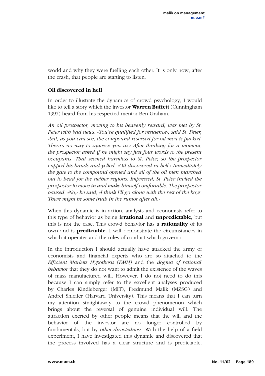world and why they were fuelling each other. It is only now, after the crash, that people are starting to listen.

#### **Oil discovered in hell**

In order to illustrate the dynamics of crowd psychology, I would like to tell a story which the investor **Warren Buffett** (Cunningham 1997) heard from his respected mentor Ben Graham.

*An oil prospector, moving to his heavenly reward, was met by St. Peter with bad news. «You're qualified for residence», said St. Peter, «but, as you can see, the compound reserved for oil men is packed. There's no way to squeeze you in.» After thinking for a moment, the prospector asked if he might say just four words to the present occupants. That seemed harmless to St. Peter, so the prospector cupped his hands and yelled, «Oil discovered in hell.» Immediately the gate to the compound opened and all of the oil men marched out to head for the nether regions. Impressed, St. Peter invited the prospector to move in and make himself comfortable. The prospector paused. «No,» he said, «I think I'll go along with the rest of the boys. There might be some truth in the rumor after all.»*

When this dynamic is in action, analysts and economists refer to this type of behavior as being **irrational** and **unpredictable,** but this is not the case. This crowd behavior has a **rationality** of its own and is **predictable.** I will demonstrate the circumstances in which it operates and the rules of conduct which govern it.

In the introduction I should actually have attacked the army of economists and financial experts who are so attached to the *Efficient Markets Hypothesis (EMH)* and the *dogma of rational behavior* that they do not want to admit the existence of the waves of mass manufactured will. However, I do not need to do this because I can simply refer to the excellent analyses produced by Charles Kindleberger (MIT), Fredmund Malik (MZSG) and Andrei Shleifer (Harvard University). This means that I can turn my attention straightaway to the crowd phenomenon which brings about the reversal of genuine individual will. The attraction exerted by other people means that the will and the behavior of the investor are no longer controlled by fundamentals, but by *other-directedness.* With the help of a field experiment, I have investigated this dynamic and discovered that the process involved has a clear structure and is predictable.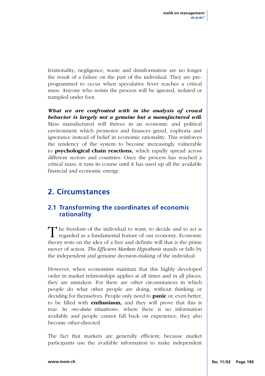Irrationality, negligence, waste and disinformation are no longer the result of a failure on the part of the individual. They are preprogrammed to occur when speculative fever reaches a critical mass. Anyone who resists the process will be ignored, isolated or trampled under foot.

*What we are confronted with in the analysis of crowd behavior is largely not a genuine but a manufactured will.* Mass manufactured will thrives in an economic and political environment which promotes and finances greed, euphoria and ignorance instead of belief in economic rationality. This reinforces the tendency of the system to become increasingly vulnerable to **psychological chain reactions,** which rapidly spread across different sectors and countries. Once the process has reached a critical mass, it runs its course until it has used up all the available financial and economic energy.

### **2. Circumstances**

### **2.1 Transforming the coordinates of economic rationality**

The freedom of the individual to want, to decide and to act is regarded as a fundamental feature of our economy. Economic theory rests on the idea of a free and definite will that is the prime mover of action. *The Efficient Markets Hypothesis* stands or falls by the independent and genuine decision-making of the individual.

However, when economists maintain that this highly developed order in market relationships applies at all times and in all places, they are mistaken. For there are other circumstances in which people do what other people are doing, without thinking or deciding for themselves. People only need to **panic** or, even better, to be filled with **enthusiasm,** and they will prove that this is true. In *«no-data situations»,* where there is no information available and people cannot fall back on experience, they also become other-directed.

The fact that markets are generally efficient, because market participants use the available information to make independent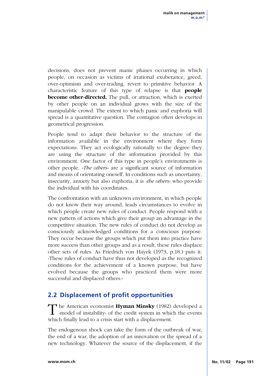decisions, does not prevent manic phases occurring in which people, on occasion as victims of irrational exuberance, greed, over-optimism and over-trading, revert to primitive behavior. A characteristic feature of this type of relapse is that **people become other-directed.** The pull, or attraction, which is exerted by other people on an individual grows with the size of the manipulable crowd. The extent to which panic and euphoria will spread is a quantitative question. The contagion often develops in geometrical progression.

People tend to adapt their behavior to the structure of the information available in the environment where they form expectations. They act ecologically rationally to the degree they are using the structure of the information provided by this environment. One factor of this type in people's environments is other people. *«The others»* are a significant source of information and means of orientating oneself. In conditions such as uncertainty, insecurity, anxiety but also euphoria, it is *«the others»* who provide the individual with his coordinates.

The confrontation with an unknown environment, in which people do not know their way around, leads circumstances to evolve in which people create new rules of conduct. People respond with a new pattern of actions which give their group an advantage in the competitive situation. The new rules of conduct do not develop as consciously acknowledged conditions for a conscious purpose. They occur because the groups which put them into practice have more success than other groups and as a result, these rules displace other sets of rules. As Friedrich von Hayek (1973, p.18.) puts it: «These rules of conduct have thus not developed as the recognized conditions for the achievement of a known purpose, but have evolved because the groups who practiced them were more successful and displaced others.»

### **2.2 Displacement of profit opportunities**

The American economist **Hyman Minsky** (1982) developed a «model of instability» of the credit system in which the events which finally lead to a crisis start with a displacement.

The endogenous shock can take the form of the outbreak of war, the end of a war, the adoption of an innovation or the spread of a new technology. Whatever the source of the displacement, if the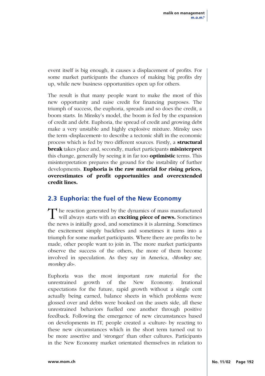event itself is big enough, it causes a displacement of profits. For some market participants the chances of making big profits dry up, while new business opportunities open up for others.

The result is that many people want to make the most of this new opportunity and raise credit for financing purposes. The triumph of success, the euphoria, spreads and so does the credit, a boom starts. In Minsky's model, the boom is fed by the expansion of credit and debt. Euphoria, the spread of credit and growing debt make a very unstable and highly explosive mixture. Minsky uses the term «displacement» to describe a tectonic shift in the economic process which is fed by two different sources. Firstly, a **structural break** takes place and, secondly, market participants **misinterpret** this change, generally by seeing it in far too **optimistic** terms. This misinterpretation prepares the ground for the instability of further developments. **Euphoria is the raw material for rising prices, overestimates of profit opportunities and overextended credit lines.**

### **2.3 Euphoria: the fuel of the New Economy**

The reaction generated by the dynamics of mass manufactured<br>will always starts with an **exciting piece of news.** Sometimes the news is initially good, and sometimes it is alarming. Sometimes the excitement simply backfires and sometimes it turns into a triumph for some market participants. Where there are profits to be made, other people want to join in. The more market participants observe the success of the others, the more of them become involved in speculation. As they say in America, *«Monkey see, monkey do».*

Euphoria was the most important raw material for the unrestrained growth of the New Economy. Irrational expectations for the future, rapid growth without a single cent actually being earned, balance sheets in which problems were glossed over and debts were booked on the assets side, all these unrestrained behaviors fuelled one another through positive feedback. Following the emergence of new circumstances based on developments in IT, people created a «culture» by reacting to these new circumstances which in the short term turned out to be more assertive and 'stronger' than other cultures. Participants in the New Economy market orientated themselves in relation to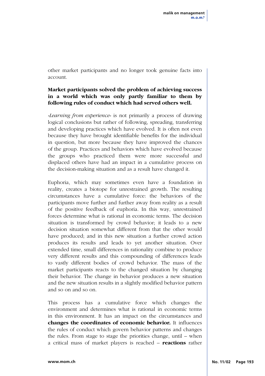other market participants and no longer took genuine facts into account.

#### **Market participants solved the problem of achieving success in a world which was only partly familiar to them by following rules of conduct which had served others well.**

*«Learning from experience»* is not primarily a process of drawing logical conclusions but rather of following, spreading, transferring and developing practices which have evolved. It is often not even because they have brought identifiable benefits for the individual in question, but more because they have improved the chances of the group. Practices and behaviors which have evolved because the groups who practiced them were more successful and displaced others have had an impact in a cumulative process on the decision-making situation and as a result have changed it.

Euphoria, which may sometimes even have a foundation in reality, creates a biotope for unrestrained growth. The resulting circumstances have a cumulative force: the behaviors of the participants move further and further away from reality as a result of the positive feedback of euphoria. In this way, unrestrained forces determine what is rational in economic terms. The decision situation is transformed by crowd behavior; it leads to a new decision situation somewhat different from that the other would have produced; and in this new situation a further crowd action produces its results and leads to yet another situation. Over extended time, small differences in rationality combine to produce very different results and this compounding of differences leads to vastly different bodies of crowd behavior. The mass of the market participants reacts to the changed situation by changing their behavior. The change in behavior produces a new situation and the new situation results in a slightly modified behavior pattern and so on and so on.

This process has a cumulative force which changes the environment and determines what is rational in economic terms in this environment. It has an impact on the circumstances and **changes the coordinates of economic behavior.** It influences the rules of conduct which govern behavior patterns and changes the rules. From stage to stage the priorities change, until – when a critical mass of market players is reached – **reactions** rather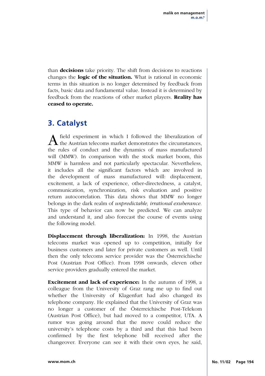than **decisions** take priority. The shift from decisions to reactions changes the **logic of the situation.** What is rational in economic terms in this situation is no longer determined by feedback from facts, basic data and fundamental value. Instead it is determined by feedback from the reactions of other market players. **Reality has ceased to operate.**

### **3. Catalyst**

A field experiment in which I followed the liberalization of the Austrian telecoms market demonstrates the circumstances, the rules of conduct and the dynamics of mass manufactured will (MMW). In comparison with the stock market boom, this MMW is harmless and not particularly spectacular. Nevertheless, it includes all the significant factors which are involved in the development of mass manufactured will: displacement, excitement, a lack of experience, other-directedness, a catalyst, communication, synchronization, risk evaluation and positive return autocorrelation. This data shows that MMW no longer belongs in the dark realm of *unpredictable, irrational exuberance.* This type of behavior can now be predicted. We can analyze and understand it, and also forecast the course of events using the following model.

**Displacement through liberalization:** In 1998, the Austrian telecoms market was opened up to competition, initially for business customers and later for private customers as well. Until then the only telecoms service provider was the Österreichische Post (Austrian Post Office). From 1998 onwards, eleven other service providers gradually entered the market.

**Excitement and lack of experience:** In the autumn of 1998, a colleague from the University of Graz rang me up to find out whether the University of Klagenfurt had also changed its telephone company. He explained that the University of Graz was no longer a customer of the Österreichische Post-Telekom (Austrian Post Office), but had moved to a competitor, UTA. A rumor was going around that the move could reduce the university's telephone costs by a third and that this had been confirmed by the first telephone bill received after the changeover. Everyone can see it with their own eyes, he said,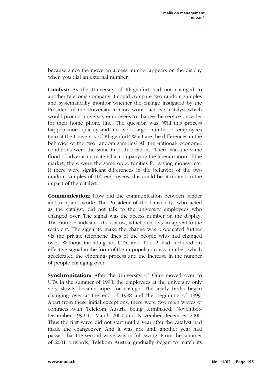because since the move an access number appears on the display when you dial an external number.

**Catalyst:** As the University of Klagenfurt had not changed to another telecoms company, I could compare two random samples and systematically monitor whether the change instigated by the President of the University in Graz would act as a catalyst which would prompt university employees to change the service provider for their home phone line. The question was: Will this process happen more quickly and involve a larger number of employees than at the University of Klagenfurt? What are the differences in the behavior of the two random samples? All the «rational» economic conditions were the same in both locations. There was the same flood of advertising material accompanying the liberalization of the market, there were the same opportunities for saving money, etc. If there were significant differences in the behavior of the two random samples of 100 employees, this could be attributed to the impact of the catalyst.

**Communication:** How did the communication between sender and recipient work? The President of the University, who acted as the catalyst, did not talk to the university employees who changed over. The signal was the access number on the display. This number indicated the «status», which acted as an appeal to the recipient. The signal to make the change was propagated further via the private telephone lines of the people who had changed over. Without intending to, UTA and Tele 2 had included an effective signal in the form of the unpopular access number, which accelerated the «ripening» process and the increase in the number of people changing over.

**Synchronization:** After the University of Graz moved over to UTA in the summer of 1998, the employees at the university only very slowly became «ripe» for change. The «early birds» began changing over at the end of 1998 and the beginning of 1999. Apart from these initial exceptions, there were two main waves of contracts with Telekom Austria being terminated: November-December 1999 to March 2000 and November-December 2000. Thus the first wave did not start until a year after the catalyst had made the changeover. And it was not until another year had passed that the second wave was in full swing. From the summer of 2001 onwards, Telekom Austria gradually began to match its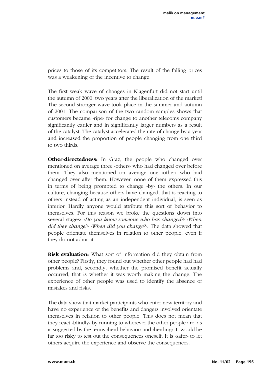prices to those of its competitors. The result of the falling prices was a weakening of the incentive to change.

The first weak wave of changes in Klagenfurt did not start until the autumn of 2000, two years after the liberalization of the market! The second stronger wave took place in the summer and autumn of 2001. The comparison of the two random samples shows that customers became «ripe» for change to another telecoms company significantly earlier and in significantly larger numbers as a result of the catalyst. The catalyst accelerated the rate of change by a year and increased the proportion of people changing from one third to two thirds.

**Other-directedness:** In Graz, the people who changed over mentioned on average three «others» who had changed over before them. They also mentioned on average one «other» who had changed over after them. However, none of them expressed this in terms of being prompted to change «by» the others. In our culture, changing because others have changed, that is reacting to others instead of acting as an independent individual, is seen as inferior. Hardly anyone would attribute this sort of behavior to themselves. For this reason we broke the questions down into several stages: *«Do you know someone who has changed?» «When did they change?» «When did you change?».* The data showed that people orientate themselves in relation to other people, even if they do not admit it.

**Risk evaluation:** What sort of information did they obtain from other people? Firstly, they found out whether other people had had problems and, secondly, whether the promised benefit actually occurred, that is whether it was worth making the change. The experience of other people was used to identify the absence of mistakes and risks.

The data show that market participants who enter new territory and have no experience of the benefits and dangers involved orientate themselves in relation to other people. This does not mean that they react «blindly» by running to wherever the other people are, as is suggested by the terms «herd behavior» and «herding». It would be far too risky to test out the consequences oneself. It is «safer» to let others acquire the experience and observe the consequences.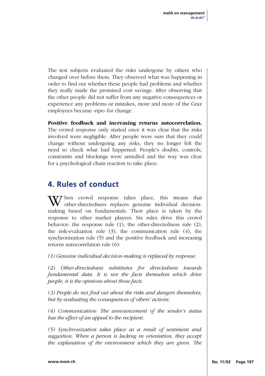The test subjects evaluated the risks undergone by others who changed over before them. They observed what was happening in order to find out whether these people had problems and whether they really made the promised cost savings. After observing that the other people did not suffer from any negative consequences or experience any problems or mistakes, more and more of the Graz employees became «ripe» for change.

**Positive feedback and increasing returns autocorrelation.**

The crowd response only started once it was clear that the risks involved were negligible. After people were sure that they could change without undergoing any risks, they no longer felt the need to check what had happened. People's doubts, controls, constraints and blockings were annulled and the way was clear for a psychological chain reaction to take place.

### **4. Rules of conduct**

 $\mathbf{V}$  hen crowd response takes place, this means that other-directedness replaces genuine individual decisionmaking based on fundamentals. Their place is taken by the response to other market players. Six rules drive this crowd behavior: the response rule (1), the other-directedness rule (2), the risk-evaluation rule (3), the communication rule (4), the synchronization rule (5) and the positive feedback and increasing returns autocorrelation rule (6):

*(1) Genuine individual decision-making is replaced by response.* 

*(2) Other-directedness substitutes for directedness towards fundamental data. It is not the facts themselves which drive people, it is the opinions about those facts.*

*(3) People do not find out about the risks and dangers themselves, but by evaluating the consequences of others' actions.* 

*(4) Communication: The announcement of the sender's status has the effect of an appeal to the recipient.*

*(5) Synchronization takes place as a result of sentiment and suggestion. When a person is lacking in orientation, they accept the explanation of the environment which they are given. The*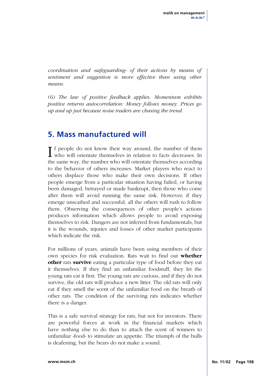*coordination and «safeguarding» of their actions by means of sentiment and suggestion is more effective than using other means.*

*(6) The law of positive feedback applies. Momentum exhibits positive returns autocorrelation: Money follows money. Prices go up and up just because noise traders are chasing the trend.*

### **5. Mass manufactured will**

**T** f people do not know their way around, the number of them who will orientate themselves in relation to facts decreases. In the same way, the number who will orientate themselves according to the behavior of others increases. Market players who react to others displace those who make their own decisions. If other people emerge from a particular situation having failed, or having been damaged, betrayed or made bankrupt, then those who come after them will avoid running the same risk. However, if they emerge unscathed and successful, all the others will rush to follow them. Observing the consequences of other people's actions produces information which allows people to avoid exposing themselves to risk. Dangers are not inferred from fundamentals, but it is the wounds, injuries and losses of other market participants which indicate the risk.

For millions of years, animals have been using members of their own species for risk evaluation. Rats wait to find out **whether other** rats **survive** eating a particular type of food before they eat it themselves. If they find an unfamiliar foodstuff, they let the young rats eat it first. The young rats are curious, and if they do not survive, the old rats will produce a new litter. The old rats will only eat if they smell the scent of the unfamiliar food on the breath of other rats. The condition of the surviving rats indicates whether there is a danger.

This is a safe survival strategy for rats, but not for investors. There are powerful forces at work in the financial markets which have nothing else to do than to attach the scent of winners to unfamiliar «food» to stimulate an appetite. The triumph of the bulls is deafening, but the bears do not make a sound.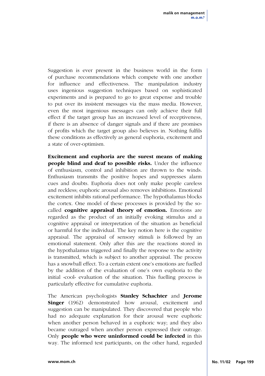Suggestion is ever present in the business world in the form of purchase recommendations which compete with one another for influence and effectiveness. The manipulation industry uses ingenious suggestion techniques based on sophisticated experiments and is prepared to go to great expense and trouble to put over its insistent messages via the mass media. However, even the most ingenious messages can only achieve their full effect if the target group has an increased level of receptiveness, if there is an absence of danger signals and if there are promises of profits which the target group also believes in. Nothing fulfils these conditions as effectively as general euphoria, excitement and a state of over-optimism.

**Excitement and euphoria are the surest means of making people blind and deaf to possible risks.** Under the influence of enthusiasm, control and inhibition are thrown to the winds. Enthusiasm transmits the positive hopes and suppresses alarm cues and doubts. Euphoria does not only make people careless and reckless; euphoric arousal also removes inhibitions. Emotional excitement inhibits rational performance. The hypothalamus blocks the cortex. One model of these processes is provided by the socalled **cognitive appraisal theory of emotion.** Emotions are regarded as the product of an initially evoking stimulus and a cognitive appraisal or interpretation of the situation as beneficial or harmful for the individual. The key notion here is the cognitive appraisal. The appraisal of sensory stimuli is followed by an emotional statement. Only after this are the reactions stored in the hypothalamus triggered and finally the response to the activity is transmitted, which is subject to another appraisal. The process has a snowball effect. To a certain extent one's emotions are fuelled by the addition of the evaluation of one's own euphoria to the initial «cool» evaluation of the situation. This fuelling process is particularly effective for cumulative euphoria.

The American psychologists **Stanley Schachter** and **Jerome Singer** (1962) demonstrated how arousal, excitement and suggestion can be manipulated. They discovered that people who had no adequate explanation for their arousal were euphoric when another person behaved in a euphoric way; and they also became outraged when another person expressed their outrage. Only **people who were uninformed could be infected** in this way. The informed test participants, on the other hand, regarded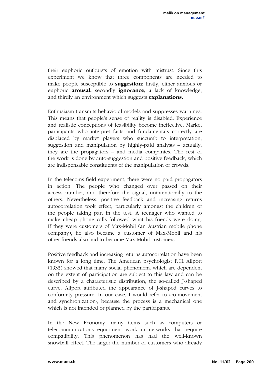their euphoric outbursts of emotion with mistrust. Since this experiment we know that three components are needed to make people susceptible to **suggestion:** firstly, either anxious or euphoric **arousal,** secondly **ignorance,** a lack of knowledge, and thirdly an environment which suggests **explanations.**

Enthusiasm transmits behavioral models and suppresses warnings. This means that people's sense of reality is disabled. Experience and realistic conceptions of feasibility become ineffective. Market participants who interpret facts and fundamentals correctly are displaced by market players who succumb to interpretation, suggestion and manipulation by highly-paid analysts – actually, they are the propagators – and media companies. The rest of the work is done by auto-suggestion and positive feedback, which are indispensable constituents of the manipulation of crowds.

In the telecoms field experiment, there were no paid propagators in action. The people who changed over passed on their access number, and therefore the signal, unintentionally to the others. Nevertheless, positive feedback and increasing returns autocorrelation took effect, particularly amongst the children of the people taking part in the test. A teenager who wanted to make cheap phone calls followed what his friends were doing. If they were customers of Max-Mobil (an Austrian mobile phone company), he also became a customer of Max-Mobil and his other friends also had to become Max-Mobil customers.

Positive feedback and increasing returns autocorrelation have been known for a long time. The American psychologist F.H. Allport (1933) showed that many social phenomena which are dependent on the extent of participation are subject to this law and can be described by a characteristic distribution, the so-called J-shaped curve. Allport attributed the appearance of J-shaped curves to conformity pressure. In our case, I would refer to «co-movement and synchronization», because the process is a mechanical one which is not intended or planned by the participants.

In the New Economy, many items such as computers or telecommunications equipment work in networks that require compatibility. This phenomenon has had the well-known snowball effect. The larger the number of customers who already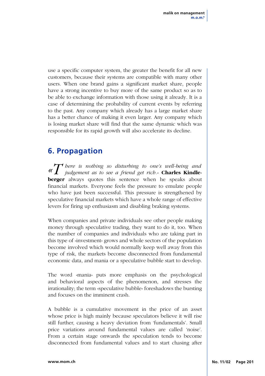use a specific computer system, the greater the benefit for all new customers, because their systems are compatible with many other users. When one brand gains a significant market share, people have a strong incentive to buy more of the same product so as to be able to exchange information with those using it already. It is a case of determining the probability of current events by referring to the past. Any company which already has a large market share has a better chance of making it even larger. Any company which is losing market share will find that the same dynamic which was responsible for its rapid growth will also accelerate its decline.

### **6. Propagation**

*«T here is nothing so disturbing to one's well-being and judgement as to see a friend get rich.»* **Charles Kindleberger** always quotes this sentence when he speaks about financial markets. Everyone feels the pressure to emulate people who have just been successful. This pressure is strengthened by speculative financial markets which have a whole range of effective levers for firing up enthusiasm and disabling braking systems.

When companies and private individuals see other people making money through speculative trading, they want to do it, too. When the number of companies and individuals who are taking part in this type of «investment» grows and whole sectors of the population become involved which would normally keep well away from this type of risk, the markets become disconnected from fundamental economic data, and mania or a speculative bubble start to develop.

The word «mania» puts more emphasis on the psychological and behavioral aspects of the phenomenon, and stresses the irrationality; the term «speculative bubble» foreshadows the bursting and focuses on the imminent crash.

A bubble is a cumulative movement in the price of an asset whose price is high mainly because speculators believe it will rise still further, causing a heavy deviation from 'fundamentals'. Small price variations around fundamental values are called 'noise'. From a certain stage onwards the speculation tends to become disconnected from fundamental values and to start chasing after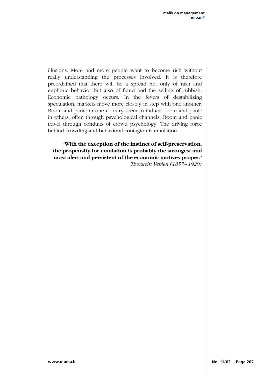illusions. More and more people want to become rich without really understanding the processes involved. It is therefore preordained that there will be a spread not only of rash and euphoric behavior but also of fraud and the selling of rubbish. Economic pathology occurs. In the fevers of destabilizing speculation, markets move more closely in step with one another. Boom and panic in one country seem to induce boom and panic in others, often through psychological channels. Boom and panic travel through conduits of crowd psychology. The driving force behind crowding and behavioral contagion is emulation.

**'With the exception of the instinct of self-preservation, the propensity for emulation is probably the strongest and most alert and persistent of the economic motives proper.'**

*Thorstein Veblen (1857 –1929)*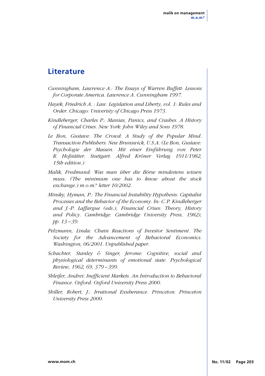### **Literature**

- *Cunningham, Lawrence A.: The Essays of Warren Buffett: Lessons for Corporate America. Lawrence A. Cunningham 1997.*
- *Hayek, Friedrich A. : Law. Legislation and Liberty, vol. 1: Rules and Order. Chicago: Univeristy of Chicago Press 1973.*
- *Kindleberger, Charles P.: Manias, Panics, and Crashes. A History of Financial Crises. New York: John Wiley and Sons 1978.*
- *Le Bon, Gustave: The Crowd: A Study of the Popular Mind. Transaction Publishers: New Brunswick, U.S.A. (Le Bon, Gustave: Psychologie der Massen. Mit einer Einführung von Peter R. Hofstätter. Stuttgart: Alfred Kröner Verlag 1911/1982, 15th edition.)*
- *Malik, Fredmund: Was man über die Börse mindestens wissen muss. (The minimum one has to know about the stock exchange.) m.o.m.® letter 10/2002.*
- *Minsky, Hyman, P.: The Financial Instability Hypothesis: Capitalist Processes and the Behavior of the Economy. In: C.P. Kindleberger and J.-P. Laffargue (eds.), Financial Crises: Theory, History and Policy. Cambridge: Cambridge University Press, 1982), pp. 13 –39.*
- *Pelzmann, Linda: Chain Reactions of Investor Sentiment. The Society for the Advancement of Behavioral Economics. Washington, 06/2001. Unpublished paper.*
- *Schachter, Stanley & Singer, Jerome: Cognitive, social and physiological determinants of emotional state. Psychological Review, 1962, 69, 379 –399.*
- *Shleifer, Andrei: Inefficient Markets. An Introduction to Behavioral Finance. Oxford: Oxford University Press 2000.*
- *Shiller, Robert, J.: Irrational Exuberance. Princeton: Princeton University Press 2000.*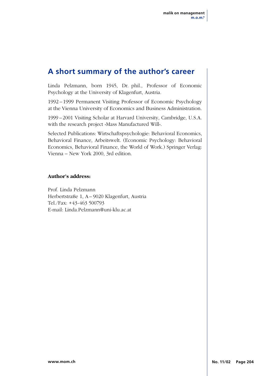### **A short summary of the author's career**

Linda Pelzmann, born 1945, Dr. phil., Professor of Economic Psychology at the University of Klagenfurt, Austria.

1992 – 1999 Permanent Visiting Professor of Economic Psychology at the Vienna University of Economics and Business Administration.

1999 –2001 Visiting Scholar at Harvard University, Cambridge, U.S.A. with the research project «Mass Manufactured Will».

Selected Publications: Wirtschaftspsychologie: Behavioral Economics, Behavioral Finance, Arbeitswelt. (Economic Psychology: Behavioral Economics, Behavioral Finance, the World of Work.) Springer Verlag: Vienna – New York 2000, 3rd edition.

#### **Author's address:**

Prof. Linda Pelzmann Herbertstraße 1, A– 9020 Klagenfurt, Austria Tel./Fax: +43-463 500793 E-mail: Linda.Pelzmann@uni-klu.ac.at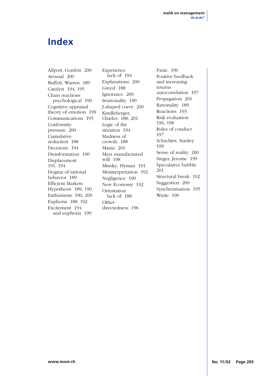## **Index**

Allport, Gordon 200 Arousal 200 Buffett, Warren 189 Catalyst 194, 195 Chain reactions psychological 190 Cognitive appraisal theory of emotion 199 Communications 195 Conformity pressure 200 Cumulative seduction 188 Decisions 194 Disinformation 190 Displacement 191, 194 Dogma of rational behavior 189 Efficient Markets Hypothesis 189, 190 Enthusiasm 190, 200 Euphoria 188, 192 Excitement 194 and euphoria 199

Experience lack of 194 Explanations 200 Greed 188 Ignorance 200 Irrationality 190 J-shaped curve 200 Kindleberger, Charles 188, 201 Logic of the situation 194 Madness of crowds 188 Mania 201 Mass manufactured will 198 Minsky, Hyman 191 Misinterpretation 192 Negligence 190 New Economy 192 Orientation lack of 188 Otherdirectedness 196

Panic 190 Positive feedback and increasing returns autocorrelation 197 Propagation 201 Rationality 189 Reactions 193 Risk evaluation 196, 198 Rules of conduct 197 Schachter, Stanley 199 Sense of reality 200 Singer, Jerome 199 Speculative bubble 201 Structural break 192 Suggestion 200 Synchronisation 195 Waste 190